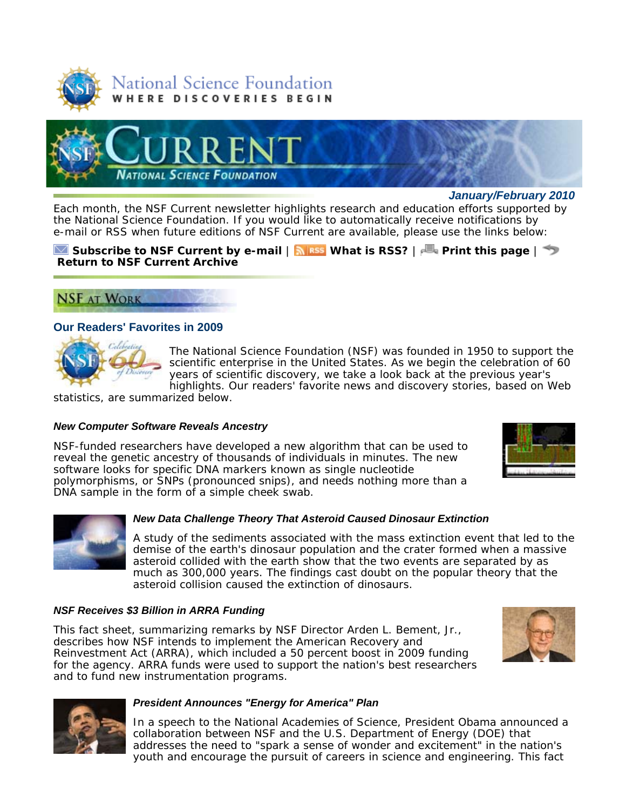



*January/February 2010*

Each month, the *NSF Current* newsletter highlights research and education efforts supported by the National Science Foundation. If you would like to automatically receive notifications by e-mail or RSS when future editions of *NSF Current* are available, please use the links below:

# **Subscribe to** *NSF Current* **by e-mail** | **What is RSS?** | **Print this page** | **Return to** *NSF Current* **Archive**



# **Our Readers' Favorites in 2009**



The National Science Foundation (NSF) was founded in 1950 to support the scientific enterprise in the United States. As we begin the celebration of 60 years of scientific discovery, we take a look back at the previous year's highlights. Our readers' favorite news and discovery stories, based on Web

statistics, are summarized below.

## *New Computer Software Reveals Ancestry*

NSF-funded researchers have developed a new algorithm that can be used to reveal the genetic ancestry of thousands of individuals in minutes. The new software looks for specific DNA markers known as single nucleotide polymorphisms, or SNPs (pronounced snips), and needs nothing more than a DNA sample in the form of a simple cheek swab.





## *New Data Challenge Theory That Asteroid Caused Dinosaur Extinction*

A study of the sediments associated with the mass extinction event that led to the demise of the earth's dinosaur population and the crater formed when a massive asteroid collided with the earth show that the two events are separated by as much as 300,000 years. The findings cast doubt on the popular theory that the asteroid collision caused the extinction of dinosaurs.

## *NSF Receives \$3 Billion in ARRA Funding*

This fact sheet, summarizing remarks by NSF Director Arden L. Bement, Jr., describes how NSF intends to implement the American Recovery and Reinvestment Act (ARRA), which included a 50 percent boost in 2009 funding for the agency. ARRA funds were used to support the nation's best researchers and to fund new instrumentation programs.





## *President Announces "Energy for America" Plan*

In a speech to the National Academies of Science, President Obama announced a collaboration between NSF and the U.S. Department of Energy (DOE) that addresses the need to "spark a sense of wonder and excitement" in the nation's youth and encourage the pursuit of careers in science and engineering. This fact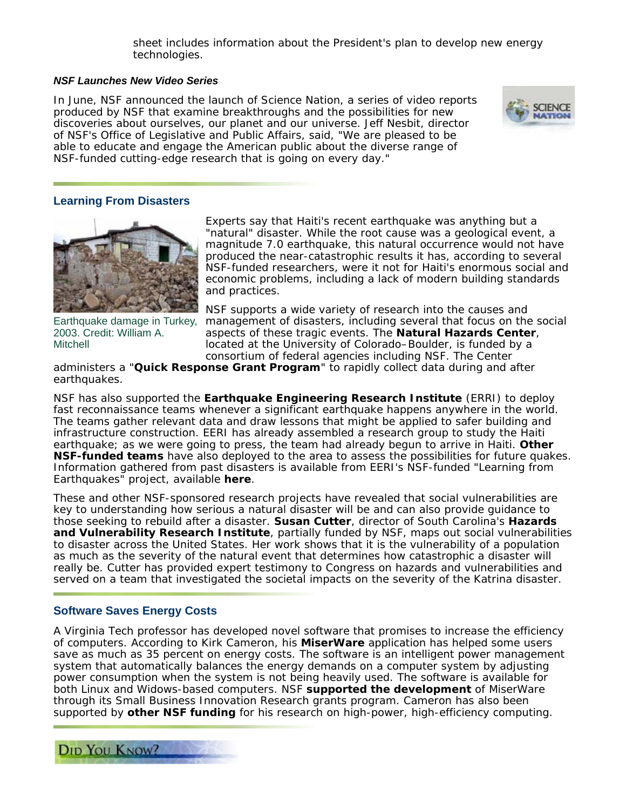sheet includes information about the President's plan to develop new energy technologies.

## *NSF Launches New Video Series*

In June, NSF announced the launch of *Science Nation*, a series of video reports produced by NSF that examine breakthroughs and the possibilities for new discoveries about ourselves, our planet and our universe. Jeff Nesbit, director of NSF's Office of Legislative and Public Affairs, said, "We are pleased to be able to educate and engage the American public about the diverse range of NSF-funded cutting-edge research that is going on every day."



# **Learning From Disasters**



Earthquake damage in Turkey, 2003. Credit: William A. Mitchell

Experts say that Haiti's recent earthquake was anything but a "natural" disaster. While the root cause was a geological event, a magnitude 7.0 earthquake, this natural occurrence would not have produced the near-catastrophic results it has, according to several NSF-funded researchers, were it not for Haiti's enormous social and economic problems, including a lack of modern building standards and practices.

NSF supports a wide variety of research into the causes and management of disasters, including several that focus on the social aspects of these tragic events. The **Natural Hazards Center**, located at the University of Colorado–Boulder, is funded by a consortium of federal agencies including NSF. The Center

administers a "**Quick Response Grant Program**" to rapidly collect data during and after earthquakes.

NSF has also supported the **Earthquake Engineering Research Institute** (ERRI) to deploy fast reconnaissance teams whenever a significant earthquake happens anywhere in the world. The teams gather relevant data and draw lessons that might be applied to safer building and infrastructure construction. EERI has already assembled a research group to study the Haiti earthquake; as we were going to press, the team had already begun to arrive in Haiti. **Other NSF-funded teams** have also deployed to the area to assess the possibilities for future quakes. Information gathered from past disasters is available from EERI's NSF-funded "Learning from Earthquakes" project, available **here**.

These and other NSF-sponsored research projects have revealed that social vulnerabilities are key to understanding how serious a natural disaster will be and can also provide guidance to those seeking to rebuild after a disaster. **Susan Cutter**, director of South Carolina's **Hazards and Vulnerability Research Institute**, partially funded by NSF, maps out social vulnerabilities to disaster across the United States. Her work shows that it is the vulnerability of a population as much as the severity of the natural event that determines how catastrophic a disaster will really be. Cutter has provided expert testimony to Congress on hazards and vulnerabilities and served on a team that investigated the societal impacts on the severity of the Katrina disaster.

## **Software Saves Energy Costs**

A Virginia Tech professor has developed novel software that promises to increase the efficiency of computers. According to Kirk Cameron, his **MiserWare** application has helped some users save as much as 35 percent on energy costs. The software is an intelligent power management system that automatically balances the energy demands on a computer system by adjusting power consumption when the system is not being heavily used. The software is available for both Linux and Widows-based computers. NSF **supported the development** of MiserWare through its Small Business Innovation Research grants program. Cameron has also been supported by **other NSF funding** for his research on high-power, high-efficiency computing.

DID YOU KNOW?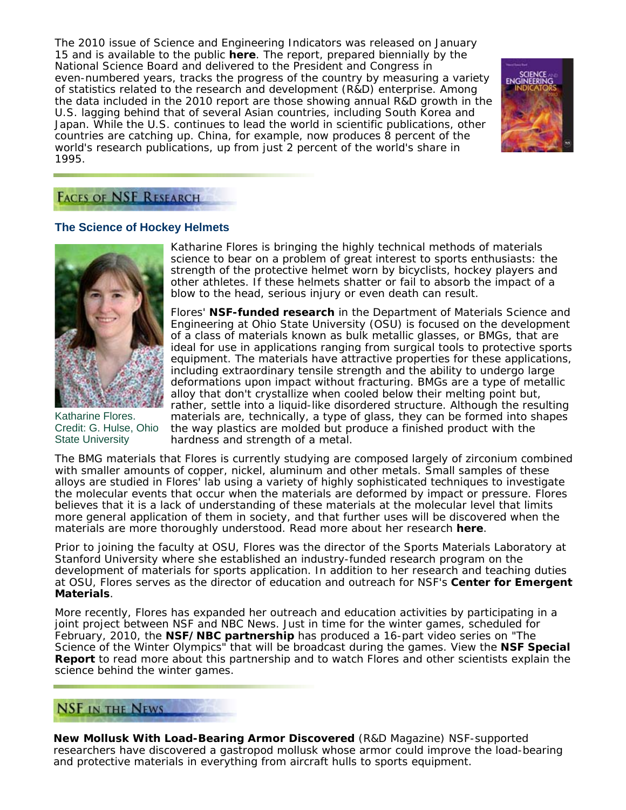The 2010 issue of *Science and Engineering Indicators* was released on January 15 and is available to the public **here**. The report, prepared biennially by the National Science Board and delivered to the President and Congress in even-numbered years, tracks the progress of the country by measuring a variety of statistics related to the research and development (R&D) enterprise. Among the data included in the 2010 report are those showing annual R&D growth in the U.S. lagging behind that of several Asian countries, including South Korea and Japan. While the U.S. continues to lead the world in scientific publications, other countries are catching up. China, for example, now produces 8 percent of the world's research publications, up from just 2 percent of the world's share in 1995.



# **FACES OF NSF RESEARCH**

## **The Science of Hockey Helmets**



Katharine Flores. Credit: G. Hulse, Ohio State University

Katharine Flores is bringing the highly technical methods of materials science to bear on a problem of great interest to sports enthusiasts: the strength of the protective helmet worn by bicyclists, hockey players and other athletes. If these helmets shatter or fail to absorb the impact of a blow to the head, serious injury or even death can result.

Flores' **NSF-funded research** in the Department of Materials Science and Engineering at Ohio State University (OSU) is focused on the development of a class of materials known as bulk metallic glasses, or BMGs, that are ideal for use in applications ranging from surgical tools to protective sports equipment. The materials have attractive properties for these applications, including extraordinary tensile strength and the ability to undergo large deformations upon impact without fracturing. BMGs are a type of metallic alloy that don't crystallize when cooled below their melting point but, rather, settle into a liquid-like disordered structure. Although the resulting materials are, technically, a type of glass, they can be formed into shapes the way plastics are molded but produce a finished product with the hardness and strength of a metal.

The BMG materials that Flores is currently studying are composed largely of zirconium combined with smaller amounts of copper, nickel, aluminum and other metals. Small samples of these alloys are studied in Flores' lab using a variety of highly sophisticated techniques to investigate the molecular events that occur when the materials are deformed by impact or pressure. Flores believes that it is a lack of understanding of these materials at the molecular level that limits more general application of them in society, and that further uses will be discovered when the materials are more thoroughly understood. Read more about her research **here**.

Prior to joining the faculty at OSU, Flores was the director of the Sports Materials Laboratory at Stanford University where she established an industry-funded research program on the development of materials for sports application. In addition to her research and teaching duties at OSU, Flores serves as the director of education and outreach for NSF's **Center for Emergent Materials**.

More recently, Flores has expanded her outreach and education activities by participating in a joint project between NSF and NBC News. Just in time for the winter games, scheduled for February, 2010, the **NSF/NBC partnership** has produced a 16-part video series on "The Science of the Winter Olympics" that will be broadcast during the games. View the **NSF Special Report** to read more about this partnership and to watch Flores and other scientists explain the science behind the winter games.

# **NSF IN THE NEWS**

**New Mollusk With Load-Bearing Armor Discovered** (*R&D Magazine*) NSF-supported researchers have discovered a gastropod mollusk whose armor could improve the load-bearing and protective materials in everything from aircraft hulls to sports equipment.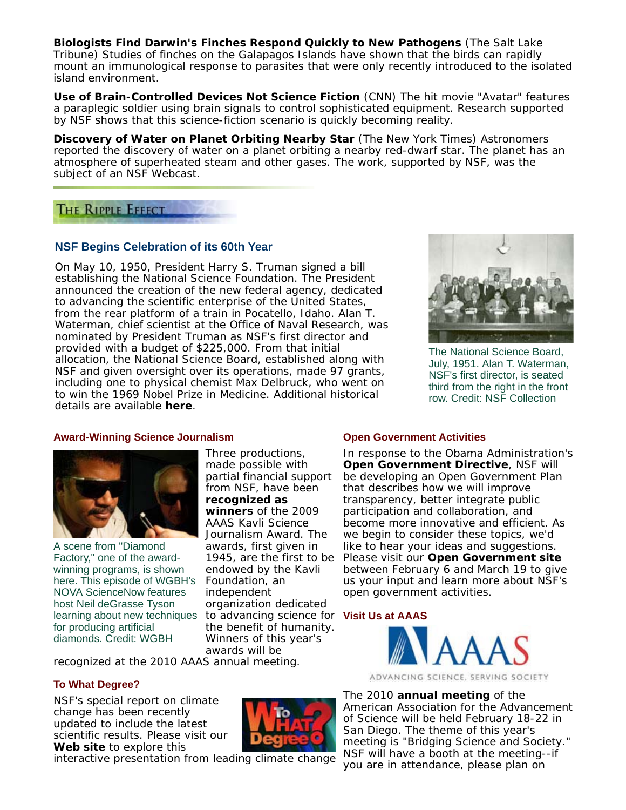**Biologists Find Darwin's Finches Respond Quickly to New Pathogens** (*The Salt Lake Tribune*) Studies of finches on the Galapagos Islands have shown that the birds can rapidly mount an immunological response to parasites that were only recently introduced to the isolated island environment.

**Use of Brain-Controlled Devices Not Science Fiction** (*CNN*) The hit movie "Avatar" features a paraplegic soldier using brain signals to control sophisticated equipment. Research supported by NSF shows that this science-fiction scenario is quickly becoming reality.

**Discovery of Water on Planet Orbiting Nearby Star** (*The New York Times*) Astronomers reported the discovery of water on a planet orbiting a nearby red-dwarf star. The planet has an atmosphere of superheated steam and other gases. The work, supported by NSF, was the subject of an NSF Webcast.

# THE RIPPLE EFFECT

# **NSF Begins Celebration of its 60th Year**

On May 10, 1950, President Harry S. Truman signed a bill establishing the National Science Foundation. The President announced the creation of the new federal agency, dedicated to advancing the scientific enterprise of the United States, from the rear platform of a train in Pocatello, Idaho. Alan T. Waterman, chief scientist at the Office of Naval Research, was nominated by President Truman as NSF's first director and provided with a budget of \$225,000. From that initial allocation, the National Science Board, established along with NSF and given oversight over its operations, made 97 grants, including one to physical chemist Max Delbruck, who went on to win the 1969 Nobel Prize in Medicine. Additional historical details are available **here**.



The National Science Board, July, 1951. Alan T. Waterman, NSF's first director, is seated third from the right in the front row. Credit: NSF Collection

## **Award-Winning Science Journalism**



A scene from "Diamond Factory," one of the awardwinning programs, is shown here. This episode of WGBH's NOVA ScienceNow features host Neil deGrasse Tyson learning about new techniques for producing artificial diamonds. Credit: WGBH

Three productions, made possible with partial financial support from NSF, have been **recognized as winners** of the 2009 AAAS Kavli Science Journalism Award. The awards, first given in 1945, are the first to be endowed by the Kavli Foundation, an independent organization dedicated to advancing science for **Visit Us at AAAS** the benefit of humanity. Winners of this year's awards will be

recognized at the 2010 AAAS annual meeting.

## **To What Degree?**

NSF's special report on climate change has been recently updated to include the latest scientific results. Please visit our **Web site** to explore this



## **Open Government Activities**

In response to the Obama Administration's **Open Government Directive**, NSF will be developing an Open Government Plan that describes how we will improve transparency, better integrate public participation and collaboration, and become more innovative and efficient. As we begin to consider these topics, we'd like to hear your ideas and suggestions. Please visit our **Open Government site** between February 6 and March 19 to give us your input and learn more about NSF's open government activities.



ADVANCING SCIENCE, SERVING SOCIETY

The 2010 **annual meeting** of the American Association for the Advancement of Science will be held February 18-22 in San Diego. The theme of this year's meeting is "Bridging Science and Society." NSF will have a booth at the meeting--if you are in attendance, please plan on